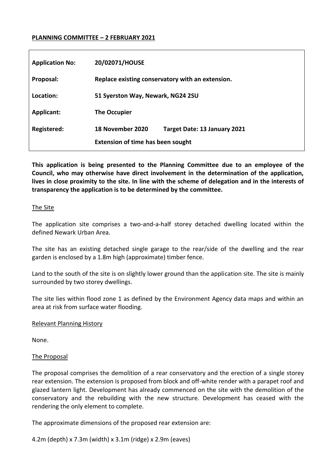### **PLANNING COMMITTEE – 2 FEBRUARY 2021**

| <b>Application No:</b> | 20/02071/HOUSE                                   |
|------------------------|--------------------------------------------------|
| Proposal:              | Replace existing conservatory with an extension. |
| Location:              | 51 Syerston Way, Newark, NG24 2SU                |
| Applicant:             | The Occupier                                     |
| Registered:            | 18 November 2020<br>Target Date: 13 January 2021 |
|                        | <b>Extension of time has been sought</b>         |

**This application is being presented to the Planning Committee due to an employee of the Council, who may otherwise have direct involvement in the determination of the application, lives in close proximity to the site. In line with the scheme of delegation and in the interests of transparency the application is to be determined by the committee.** 

#### The Site

The application site comprises a two-and-a-half storey detached dwelling located within the defined Newark Urban Area.

The site has an existing detached single garage to the rear/side of the dwelling and the rear garden is enclosed by a 1.8m high (approximate) timber fence.

Land to the south of the site is on slightly lower ground than the application site. The site is mainly surrounded by two storey dwellings.

The site lies within flood zone 1 as defined by the Environment Agency data maps and within an area at risk from surface water flooding.

#### Relevant Planning History

None.

#### The Proposal

The proposal comprises the demolition of a rear conservatory and the erection of a single storey rear extension. The extension is proposed from block and off-white render with a parapet roof and glazed lantern light. Development has already commenced on the site with the demolition of the conservatory and the rebuilding with the new structure. Development has ceased with the rendering the only element to complete.

The approximate dimensions of the proposed rear extension are:

4.2m (depth) x 7.3m (width) x 3.1m (ridge) x 2.9m (eaves)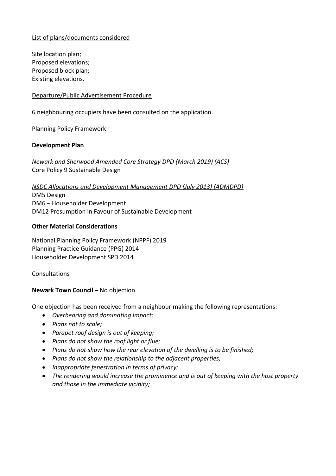## List of plans/documents considered

Site location plan; Proposed elevations; Proposed block plan; Existing elevations.

### Departure/Public Advertisement Procedure

6 neighbouring occupiers have been consulted on the application.

Planning Policy Framework

## **Development Plan**

*Newark and Sherwood Amended Core Strategy DPD (March 2019) (ACS)* Core Policy 9 Sustainable Design

# *NSDC Allocations and Development Management DPD (July 2013) (ADMDPD)* DM5 Design DM6 – Householder Development DM12 Presumption in Favour of Sustainable Development

## **Other Material Considerations**

National Planning Policy Framework (NPPF) 2019 Planning Practice Guidance (PPG) 2014 Householder Development SPD 2014

#### Consultations

## **Newark Town Council –** No objection.

One objection has been received from a neighbour making the following representations:

- *Overbearing and dominating impact;*
- *Plans not to scale;*
- *Parapet roof design is out of keeping;*
- *Plans do not show the roof light or flue;*
- *Plans do not show how the rear elevation of the dwelling is to be finished;*
- *Plans do not show the relationship to the adjacent properties;*
- *Inappropriate fenestration in terms of privacy;*
- *The rendering would increase the prominence and is out of keeping with the host property and those in the immediate vicinity;*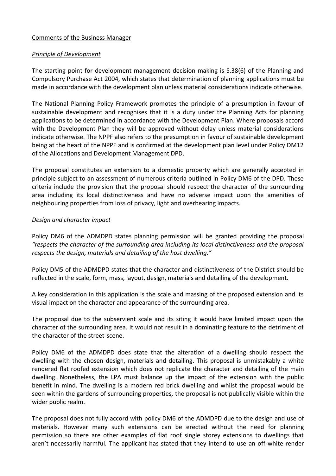## Comments of the Business Manager

## *Principle of Development*

The starting point for development management decision making is S.38(6) of the Planning and Compulsory Purchase Act 2004, which states that determination of planning applications must be made in accordance with the development plan unless material considerations indicate otherwise.

The National Planning Policy Framework promotes the principle of a presumption in favour of sustainable development and recognises that it is a duty under the Planning Acts for planning applications to be determined in accordance with the Development Plan. Where proposals accord with the Development Plan they will be approved without delay unless material considerations indicate otherwise. The NPPF also refers to the presumption in favour of sustainable development being at the heart of the NPPF and is confirmed at the development plan level under Policy DM12 of the Allocations and Development Management DPD.

The proposal constitutes an extension to a domestic property which are generally accepted in principle subject to an assessment of numerous criteria outlined in Policy DM6 of the DPD. These criteria include the provision that the proposal should respect the character of the surrounding area including its local distinctiveness and have no adverse impact upon the amenities of neighbouring properties from loss of privacy, light and overbearing impacts.

## *Design and character impact*

Policy DM6 of the ADMDPD states planning permission will be granted providing the proposal *"respects the character of the surrounding area including its local distinctiveness and the proposal respects the design, materials and detailing of the host dwelling."*

Policy DM5 of the ADMDPD states that the character and distinctiveness of the District should be reflected in the scale, form, mass, layout, design, materials and detailing of the development.

A key consideration in this application is the scale and massing of the proposed extension and its visual impact on the character and appearance of the surrounding area.

The proposal due to the subservient scale and its siting it would have limited impact upon the character of the surrounding area. It would not result in a dominating feature to the detriment of the character of the street-scene.

Policy DM6 of the ADMDPD does state that the alteration of a dwelling should respect the dwelling with the chosen design, materials and detailing. This proposal is unmistakably a white rendered flat roofed extension which does not replicate the character and detailing of the main dwelling. Nonetheless, the LPA must balance up the impact of the extension with the public benefit in mind. The dwelling is a modern red brick dwelling and whilst the proposal would be seen within the gardens of surrounding properties, the proposal is not publically visible within the wider public realm.

The proposal does not fully accord with policy DM6 of the ADMDPD due to the design and use of materials. However many such extensions can be erected without the need for planning permission so there are other examples of flat roof single storey extensions to dwellings that aren't necessarily harmful. The applicant has stated that they intend to use an off-white render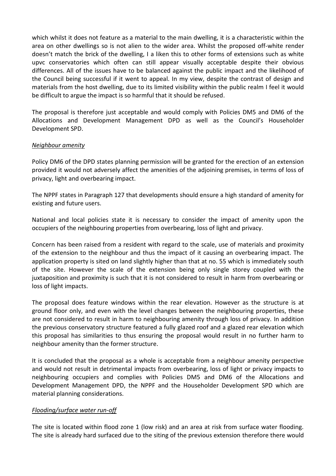which whilst it does not feature as a material to the main dwelling, it is a characteristic within the area on other dwellings so is not alien to the wider area. Whilst the proposed off-white render doesn't match the brick of the dwelling, I a liken this to other forms of extensions such as white upvc conservatories which often can still appear visually acceptable despite their obvious differences. All of the issues have to be balanced against the public impact and the likelihood of the Council being successful if it went to appeal. In my view, despite the contrast of design and materials from the host dwelling, due to its limited visibility within the public realm I feel it would be difficult to argue the impact is so harmful that it should be refused.

The proposal is therefore just acceptable and would comply with Policies DM5 and DM6 of the Allocations and Development Management DPD as well as the Council's Householder Development SPD.

## *Neighbour amenity*

Policy DM6 of the DPD states planning permission will be granted for the erection of an extension provided it would not adversely affect the amenities of the adjoining premises, in terms of loss of privacy, light and overbearing impact.

The NPPF states in Paragraph 127 that developments should ensure a high standard of amenity for existing and future users.

National and local policies state it is necessary to consider the impact of amenity upon the occupiers of the neighbouring properties from overbearing, loss of light and privacy.

Concern has been raised from a resident with regard to the scale, use of materials and proximity of the extension to the neighbour and thus the impact of it causing an overbearing impact. The application property is sited on land slightly higher than that at no. 55 which is immediately south of the site. However the scale of the extension being only single storey coupled with the juxtaposition and proximity is such that it is not considered to result in harm from overbearing or loss of light impacts.

The proposal does feature windows within the rear elevation. However as the structure is at ground floor only, and even with the level changes between the neighbouring properties, these are not considered to result in harm to neighbouring amenity through loss of privacy. In addition the previous conservatory structure featured a fully glazed roof and a glazed rear elevation which this proposal has similarities to thus ensuring the proposal would result in no further harm to neighbour amenity than the former structure.

It is concluded that the proposal as a whole is acceptable from a neighbour amenity perspective and would not result in detrimental impacts from overbearing, loss of light or privacy impacts to neighbouring occupiers and complies with Policies DM5 and DM6 of the Allocations and Development Management DPD, the NPPF and the Householder Development SPD which are material planning considerations.

#### *Flooding/surface water run-off*

The site is located within flood zone 1 (low risk) and an area at risk from surface water flooding. The site is already hard surfaced due to the siting of the previous extension therefore there would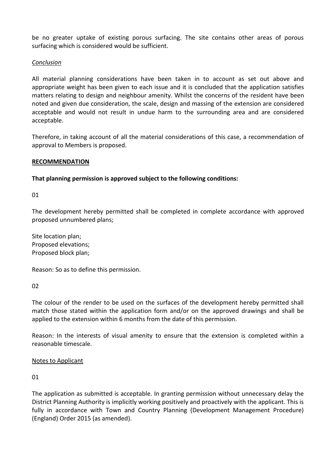be no greater uptake of existing porous surfacing. The site contains other areas of porous surfacing which is considered would be sufficient.

## *Conclusion*

All material planning considerations have been taken in to account as set out above and appropriate weight has been given to each issue and it is concluded that the application satisfies matters relating to design and neighbour amenity. Whilst the concerns of the resident have been noted and given due consideration, the scale, design and massing of the extension are considered acceptable and would not result in undue harm to the surrounding area and are considered acceptable.

Therefore, in taking account of all the material considerations of this case, a recommendation of approval to Members is proposed.

#### **RECOMMENDATION**

**That planning permission is approved subject to the following conditions:** 

01

The development hereby permitted shall be completed in complete accordance with approved proposed unnumbered plans;

Site location plan; Proposed elevations; Proposed block plan;

Reason: So as to define this permission.

 $02$ 

The colour of the render to be used on the surfaces of the development hereby permitted shall match those stated within the application form and/or on the approved drawings and shall be applied to the extension within 6 months from the date of this permission.

Reason: In the interests of visual amenity to ensure that the extension is completed within a reasonable timescale.

#### Notes to Applicant

01

The application as submitted is acceptable. In granting permission without unnecessary delay the District Planning Authority is implicitly working positively and proactively with the applicant. This is fully in accordance with Town and Country Planning (Development Management Procedure) (England) Order 2015 (as amended).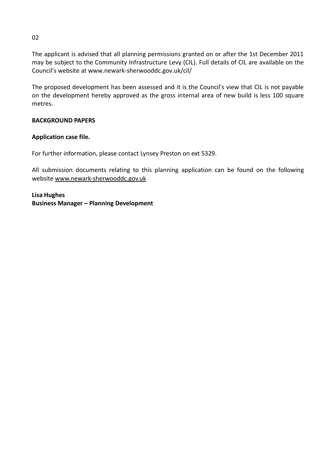The applicant is advised that all planning permissions granted on or after the 1st December 2011 may be subject to the Community Infrastructure Levy (CIL). Full details of CIL are available on the Council's website at www.newark-sherwooddc.gov.uk/cil/

The proposed development has been assessed and it is the Council's view that CIL is not payable on the development hereby approved as the gross internal area of new build is less 100 square metres.

## **BACKGROUND PAPERS**

## **Application case file.**

For further information, please contact Lynsey Preston on ext 5329.

All submission documents relating to this planning application can be found on the following website [www.newark-sherwooddc.gov.uk](http://www.newark-sherwooddc.gov.uk/)

**Lisa Hughes Business Manager – Planning Development**

02